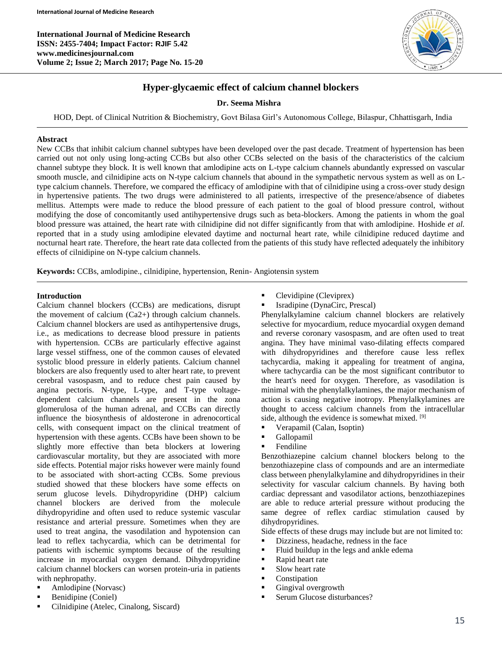**International Journal of Medicine Research ISSN: 2455-7404; Impact Factor: RJIF 5.42 www.medicinesjournal.com Volume 2; Issue 2; March 2017; Page No. 15-20**



# **Hyper-glycaemic effect of calcium channel blockers**

# **Dr. Seema Mishra**

HOD, Dept. of Clinical Nutrition & Biochemistry, Govt Bilasa Girl's Autonomous College, Bilaspur, Chhattisgarh, India

#### **Abstract**

New CCBs that inhibit calcium channel subtypes have been developed over the past decade. Treatment of hypertension has been carried out not only using long-acting CCBs but also other CCBs selected on the basis of the characteristics of the calcium channel subtype they block. It is well known that amlodipine acts on L-type calcium channels abundantly expressed on vascular smooth muscle, and cilnidipine acts on N-type calcium channels that abound in the sympathetic nervous system as well as on Ltype calcium channels. Therefore, we compared the efficacy of amlodipine with that of cilnidipine using a cross-over study design in hypertensive patients. The two drugs were administered to all patients, irrespective of the presence/absence of diabetes mellitus. Attempts were made to reduce the blood pressure of each patient to the goal of blood pressure control, without modifying the dose of concomitantly used antihypertensive drugs such as beta-blockers. Among the patients in whom the goal blood pressure was attained, the heart rate with cilnidipine did not differ significantly from that with amlodipine. Hoshide *et al.* reported that in a study using amlodipine elevated daytime and nocturnal heart rate, while cilnidipine reduced daytime and nocturnal heart rate. Therefore, the heart rate data collected from the patients of this study have reflected adequately the inhibitory effects of cilnidipine on N-type calcium channels.

**Keywords:** CCBs, amlodipine., cilnidipine, hypertension, Renin- Angiotensin system

#### **Introduction**

Calcium channel blockers (CCBs) are medications, disrupt the movement of calcium (Ca2+) through calcium channels. Calcium channel blockers are used as antihypertensive drugs, i.e., as medications to decrease blood pressure in patients with hypertension. CCBs are particularly effective against large vessel stiffness, one of the common causes of elevated systolic blood pressure in elderly patients. Calcium channel blockers are also frequently used to alter heart rate, to prevent cerebral vasospasm, and to reduce chest pain caused by angina pectoris. N-type, L-type, and T-type voltagedependent calcium channels are present in the zona glomerulosa of the human adrenal, and CCBs can directly influence the biosynthesis of aldosterone in adrenocortical cells, with consequent impact on the clinical treatment of hypertension with these agents. CCBs have been shown to be slightly more effective than beta blockers at lowering cardiovascular mortality, but they are associated with more side effects. Potential major risks however were mainly found to be associated with short-acting CCBs. Some previous studied showed that these blockers have some effects on serum glucose levels. Dihydropyridine (DHP) calcium channel blockers are derived from the molecule dihydropyridine and often used to reduce systemic vascular resistance and arterial pressure. Sometimes when they are used to treat angina, the vasodilation and hypotension can lead to reflex tachycardia, which can be detrimental for patients with ischemic symptoms because of the resulting increase in myocardial oxygen demand. Dihydropyridine calcium channel blockers can worsen protein-uria in patients with nephropathy.

- Amlodipine (Norvasc)
- Benidipine (Coniel)
- Cilnidipine (Atelec, Cinalong, Siscard)
- Clevidipine (Cleviprex)
- Isradipine (DynaCirc, Prescal)

Phenylalkylamine calcium channel blockers are relatively selective for myocardium, reduce myocardial oxygen demand and reverse coronary vasospasm, and are often used to treat angina. They have minimal vaso-dilating effects compared with dihydropyridines and therefore cause less reflex tachycardia, making it appealing for treatment of angina, where tachycardia can be the most significant contributor to the heart's need for oxygen. Therefore, as vasodilation is minimal with the phenylalkylamines, the major mechanism of action is causing negative inotropy. Phenylalkylamines are thought to access calcium channels from the intracellular side, although the evidence is somewhat mixed. [9]

- Verapamil (Calan, Isoptin)
- Gallopamil
- Fendiline

Benzothiazepine calcium channel blockers belong to the benzothiazepine class of compounds and are an intermediate class between phenylalkylamine and dihydropyridines in their selectivity for vascular calcium channels. By having both cardiac depressant and vasodilator actions, benzothiazepines are able to reduce arterial pressure without producing the same degree of reflex cardiac stimulation caused by dihydropyridines.

Side effects of these drugs may include but are not limited to:

- Dizziness, headache, redness in the face
- **Fluid buildup in the legs and ankle edema**
- Rapid heart rate
- **Slow heart rate**
- Constipation
- Gingival overgrowth
- Serum Glucose disturbances?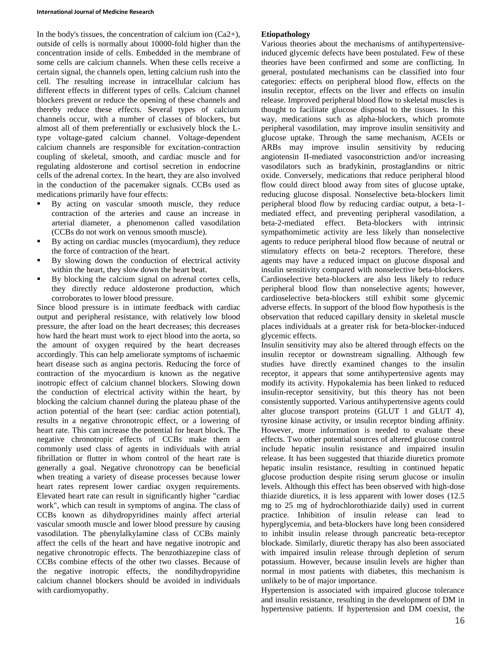In the body's tissues, the concentration of calcium ion  $(Ca2+)$ , outside of cells is normally about 10000-fold higher than the concentration inside of cells. Embedded in the membrane of some cells are calcium channels. When these cells receive a certain signal, the channels open, letting calcium rush into the cell. The resulting increase in intracellular calcium has different effects in different types of cells. Calcium channel blockers prevent or reduce the opening of these channels and thereby reduce these effects. Several types of calcium channels occur, with a number of classes of blockers, but almost all of them preferentially or exclusively block the Ltype voltage-gated calcium channel. Voltage-dependent calcium channels are responsible for excitation-contraction coupling of skeletal, smooth, and cardiac muscle and for regulating aldosterone and cortisol secretion in endocrine cells of the adrenal cortex. In the heart, they are also involved in the conduction of the pacemaker signals. CCBs used as medications primarily have four effects:

- By acting on vascular smooth muscle, they reduce contraction of the arteries and cause an increase in arterial diameter, a phenomenon called vasodilation (CCBs do not work on venous smooth muscle).
- By acting on cardiac muscles (myocardium), they reduce the force of contraction of the heart.
- By slowing down the conduction of electrical activity within the heart, they slow down the heart beat.
- By blocking the calcium signal on adrenal cortex cells, they directly reduce aldosterone production, which corroborates to lower blood pressure.

Since blood pressure is in intimate feedback with cardiac output and peripheral resistance, with relatively low blood pressure, the after load on the heart decreases; this decreases how hard the heart must work to eject blood into the aorta, so the amount of oxygen required by the heart decreases accordingly. This can help ameliorate symptoms of ischaemic heart disease such as angina pectoris. Reducing the force of contraction of the myocardium is known as the negative inotropic effect of calcium channel blockers. Slowing down the conduction of electrical activity within the heart, by blocking the calcium channel during the plateau phase of the action potential of the heart (see: cardiac action potential), results in a negative chronotropic effect, or a lowering of heart rate. This can increase the potential for heart block. The negative chronotropic effects of CCBs make them a commonly used class of agents in individuals with atrial fibrillation or flutter in whom control of the heart rate is generally a goal. Negative chronotropy can be beneficial when treating a variety of disease processes because lower heart rates represent lower cardiac oxygen requirements. Elevated heart rate can result in significantly higher "cardiac work", which can result in symptoms of angina. The class of CCBs known as dihydropyridines mainly affect arterial vascular smooth muscle and lower blood pressure by causing vasodilation. The phenylalkylamine class of CCBs mainly affect the cells of the heart and have negative inotropic and negative chronotropic effects. The benzothiazepine class of CCBs combine effects of the other two classes. Because of the negative inotropic effects, the nondihydropyridine calcium channel blockers should be avoided in individuals with cardiomyopathy.

## **Etiopathology**

Various theories about the mechanisms of antihypertensiveinduced glycemic defects have been postulated. Few of these theories have been confirmed and some are conflicting. In general, postulated mechanisms can be classified into four categories: effects on peripheral blood flow, effects on the insulin receptor, effects on the liver and effects on insulin release. Improved peripheral blood flow to skeletal muscles is thought to facilitate glucose disposal to the tissues. In this way, medications such as alpha-blockers, which promote peripheral vasodilation, may improve insulin sensitivity and glucose uptake. Through the same mechanism, ACEIs or ARBs may improve insulin sensitivity by reducing angiotensin II-mediated vasoconstriction and/or increasing vasodilators such as bradykinin, prostaglandins or nitric oxide. Conversely, medications that reduce peripheral blood flow could direct blood away from sites of glucose uptake, reducing glucose disposal. Nonselective beta-blockers limit peripheral blood flow by reducing cardiac output, a beta-1 mediated effect, and preventing peripheral vasodilation, a beta-2-mediated effect. Beta-blockers with intrinsic sympathomimetic activity are less likely than nonselective agents to reduce peripheral blood flow because of neutral or stimulatory effects on beta-2 receptors. Therefore, these agents may have a reduced impact on glucose disposal and insulin sensitivity compared with nonselective beta-blockers. Cardioselective beta-blockers are also less likely to reduce peripheral blood flow than nonselective agents; however, cardioselective beta-blockers still exhibit some glycemic adverse effects. In support of the blood flow hypothesis is the observation that reduced capillary density in skeletal muscle places individuals at a greater risk for beta-blocker-induced glycemic effects.

Insulin sensitivity may also be altered through effects on the insulin receptor or downstream signalling. Although few studies have directly examined changes to the insulin receptor, it appears that some antihypertensive agents may modify its activity. Hypokalemia has been linked to reduced insulin-receptor sensitivity, but this theory has not been consistently supported. Various antihypertensive agents could alter glucose transport proteins (GLUT 1 and GLUT 4), tyrosine kinase activity, or insulin receptor binding affinity. However, more information is needed to evaluate these effects. Two other potential sources of altered glucose control include hepatic insulin resistance and impaired insulin release. It has been suggested that thiazide diuretics promote hepatic insulin resistance, resulting in continued hepatic glucose production despite rising serum glucose or insulin levels. Although this effect has been observed with high-dose thiazide diuretics, it is less apparent with lower doses (12.5 mg to 25 mg of hydrochlorothiazide daily) used in current practice. Inhibition of insulin release can lead to hyperglycemia, and beta-blockers have long been considered to inhibit insulin release through pancreatic beta-receptor blockade. Similarly, diuretic therapy has also been associated with impaired insulin release through depletion of serum potassium. However, because insulin levels are higher than normal in most patients with diabetes, this mechanism is unlikely to be of major importance.

Hypertension is associated with impaired glucose tolerance and insulin resistance, resulting in the development of DM in hypertensive patients. If hypertension and DM coexist, the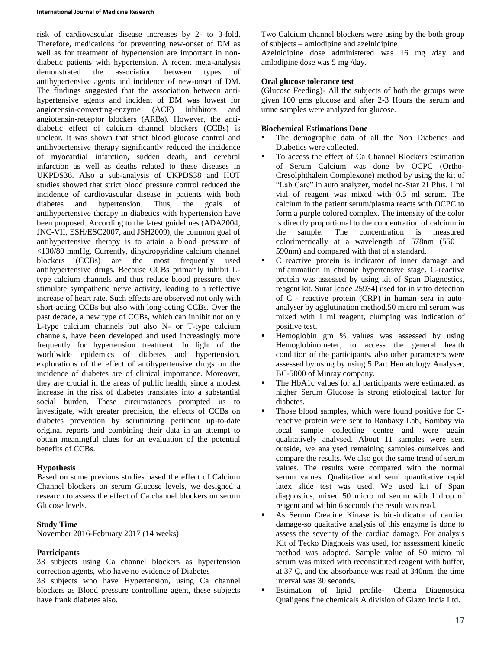risk of cardiovascular disease increases by 2- to 3-fold. Therefore, medications for preventing new-onset of DM as well as for treatment of hypertension are important in nondiabetic patients with hypertension. A recent meta-analysis demonstrated the association between types of antihypertensive agents and incidence of new-onset of DM. The findings suggested that the association between antihypertensive agents and incident of DM was lowest for angiotensin-converting-enzyme (ACE) inhibitors and angiotensin-receptor blockers (ARBs). However, the antidiabetic effect of calcium channel blockers (CCBs) is unclear. It was shown that strict blood glucose control and antihypertensive therapy significantly reduced the incidence of myocardial infarction, sudden death, and cerebral infarction as well as deaths related to these diseases in UKPDS36. Also a sub-analysis of UKPDS38 and HOT studies showed that strict blood pressure control reduced the incidence of cardiovascular disease in patients with both<br>diabetes and hypertension. Thus, the goals of diabetes and hypertension. Thus, the goals of antihypertensive therapy in diabetics with hypertension have been proposed. According to the latest guidelines (ADA2004, JNC-VII, ESH/ESC2007, and JSH2009), the common goal of antihypertensive therapy is to attain a blood pressure of <130/80 mmHg. Currently, dihydropyridine calcium channel blockers (CCBs) are the most frequently used antihypertensive drugs. Because CCBs primarily inhibit Ltype calcium channels and thus reduce blood pressure, they stimulate sympathetic nerve activity, leading to a reflective increase of heart rate. Such effects are observed not only with short-acting CCBs but also with long-acting CCBs. Over the past decade, a new type of CCBs, which can inhibit not only L-type calcium channels but also N- or T-type calcium channels, have been developed and used increasingly more frequently for hypertension treatment. In light of the worldwide epidemics of diabetes and hypertension, explorations of the effect of antihypertensive drugs on the incidence of diabetes are of clinical importance. Moreover, they are crucial in the areas of public health, since a modest increase in the risk of diabetes translates into a substantial social burden. These circumstances prompted us to investigate, with greater precision, the effects of CCBs on diabetes prevention by scrutinizing pertinent up-to-date original reports and combining their data in an attempt to obtain meaningful clues for an evaluation of the potential benefits of CCBs.

# **Hypothesis**

Based on some previous studies based the effect of Calcium Channel blockers on serum Glucose levels, we designed a research to assess the effect of Ca channel blockers on serum Glucose levels.

# **Study Time**

November 2016-February 2017 (14 weeks)

## **Participants**

33 subjects using Ca channel blockers as hypertension correction agents, who have no evidence of Diabetes

33 subjects who have Hypertension, using Ca channel blockers as Blood pressure controlling agent, these subjects have frank diabetes also.

Two Calcium channel blockers were using by the both group of subjects – amlodipine and azelnidipine

Azelnidipine dose administered was 16 mg /day and amlodipine dose was 5 mg /day.

# **Oral glucose tolerance test**

(Glucose Feeding)- All the subjects of both the groups were given 100 gms glucose and after 2-3 Hours the serum and urine samples were analyzed for glucose.

# **Biochemical Estimations Done**

- The demographic data of all the Non Diabetics and Diabetics were collected.
- To access the effect of Ca Channel Blockers estimation of Serum Calcium was done by OCPC (Ortho-Cresolphthalein Complexone) method by using the kit of "Lab Care" in auto analyzer, model no-Star 21 Plus. 1 ml vial of reagent was mixed with 0.5 ml serum. The calcium in the patient serum/plasma reacts with OCPC to form a purple colored complex. The intensity of the color is directly proportional to the concentration of calcium in the sample. The concentration is measured colorimetrically at a wavelength of 578nm (550 – 590nm) and compared with that of a standard.
- C–reactive protein is indicator of inner damage and inflammation in chronic hypertensive stage. C-reactive protein was assessed by using kit of Span Diagnostics, reagent kit, Surat [code 25934] used for in vitro detection of C - reactive protein (CRP) in human sera in autoanalyser by agglutination method.50 micro ml serum was mixed with 1 ml reagent, clumping was indication of positive test.
- Hemoglobin gm % values was assessed by using Hemoglobinometer, to access the general health condition of the participants. also other parameters were assessed by using by using 5 Part Hematology Analyser, BC-5000 of Minray company.
- The HbA1c values for all participants were estimated, as higher Serum Glucose is strong etiological factor for diabetes.
- Those blood samples, which were found positive for Creactive protein were sent to Ranbaxy Lab, Bombay via local sample collecting centre and were again qualitatively analysed. About 11 samples were sent outside, we analysed remaining samples ourselves and compare the results. We also got the same trend of serum values. The results were compared with the normal serum values. Qualitative and semi quantitative rapid latex slide test was used. We used kit of Span diagnostics, mixed 50 micro ml serum with 1 drop of reagent and within 6 seconds the result was read.
- As Serum Creatine Kinase is bio-indicator of cardiac damage-so quaitative analysis of this enzyme is done to assess the severity of the cardiac damage. For analysis Kit of Tecko Diagnosis was used, for assessment kinetic method was adopted. Sample value of 50 micro ml serum was mixed with reconstituted reagent with buffer, at 37 Ç, and the absorbance was read at 340nm, the time interval was 30 seconds.
- Estimation of lipid profile- Chema Diagnostica Qualigens fine chemicals A division of Glaxo India Ltd.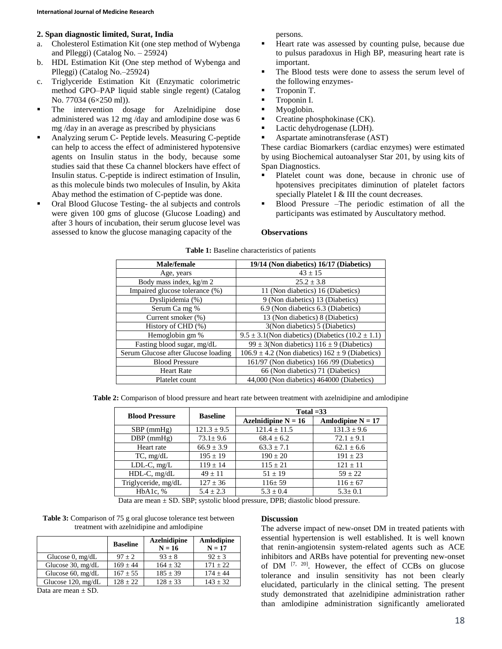# **2. Span diagnostic limited, Surat, India**

- a. Cholesterol Estimation Kit (one step method of Wybenga and Plleggi) (Catalog No. – 25924)
- b. HDL Estimation Kit (One step method of Wybenga and Plleggi) (Catalog No.–25924)
- c. Triglyceride Estimation Kit (Enzymatic colorimetric method GPO–PAP liquid stable single regent) (Catalog No. 77034 (6×250 ml)).
- The intervention dosage for Azelnidipine dose administered was 12 mg /day and amlodipine dose was 6 mg /day in an average as prescribed by physicians
- Analyzing serum C- Peptide levels. Measuring C-peptide can help to access the effect of administered hypotensive agents on Insulin status in the body, because some studies said that these Ca channel blockers have effect of Insulin status. C-peptide is indirect estimation of Insulin, as this molecule binds two molecules of Insulin, by Akita Abay method the estimation of C-peptide was done.
- Oral Blood Glucose Testing- the al subjects and controls were given 100 gms of glucose (Glucose Loading) and after 3 hours of incubation, their serum glucose level was assessed to know the glucose managing capacity of the

persons.

- Heart rate was assessed by counting pulse, because due to pulsus paradoxus in High BP, measuring heart rate is important.
- The Blood tests were done to assess the serum level of the following enzymes-
- **Troponin T.**
- Troponin I.
- Myoglobin.
- $\blacksquare$  Creatine phosphokinase (CK).
- Lactic dehydrogenase (LDH).
- Aspartate aminotransferase (AST)

These cardiac Biomarkers (cardiac enzymes) were estimated by using Biochemical autoanalyser Star 201, by using kits of Span Diagnostics.

- Platelet count was done, because in chronic use of hpotensives precipitates diminution of platelet factors specially Platelet I & III the count decreases.
- Blood Pressure –The periodic estimation of all the participants was estimated by Auscultatory method.

#### **Observations**

| <b>Male/female</b>                  | 19/14 (Non diabetics) 16/17 (Diabetics)                   |  |
|-------------------------------------|-----------------------------------------------------------|--|
| Age, years                          | $43 + 15$                                                 |  |
| Body mass index, kg/m 2             | $25.2 + 3.8$                                              |  |
| Impaired glucose tolerance (%)      | 11 (Non diabetics) 16 (Diabetics)                         |  |
| Dyslipidemia (%)                    | 9 (Non diabetics) 13 (Diabetics)                          |  |
| Serum Ca mg %                       | 6.9 (Non diabetics 6.3 (Diabetics)                        |  |
| Current smoker (%)                  | 13 (Non diabetics) 8 (Diabetics)                          |  |
| History of CHD (%)                  | 3(Non diabetics) 5 (Diabetics)                            |  |
| Hemoglobin gm %                     | $9.5 \pm 3.1$ (Non diabetics) (Diabetics (10.2 $\pm$ 1.1) |  |
| Fasting blood sugar, mg/dL          | 99 ± 3(Non diabetics) $116 \pm 9$ (Diabetics)             |  |
| Serum Glucose after Glucose loading | $106.9 \pm 4.2$ (Non diabetics) $162 \pm 9$ (Diabetics)   |  |
| <b>Blood Pressure</b>               | 161/97 (Non diabetics) 166/99 (Diabetics)                 |  |
| <b>Heart Rate</b>                   | 66 (Non diabetics) 71 (Diabetics)                         |  |
| Platelet count                      | 44,000 (Non diabetics) 464000 (Diabetics)                 |  |

**Table 2:** Comparison of blood pressure and heart rate between treatment with azelnidipine and amlodipine

| <b>Blood Pressure</b> | <b>Baseline</b> | Total $=33$           |                     |  |
|-----------------------|-----------------|-----------------------|---------------------|--|
|                       |                 | Azelnidipine $N = 16$ | Amlodipine $N = 17$ |  |
| $SBP$ (mmHg)          | $121.3 \pm 9.5$ | $121.4 \pm 11.5$      | $131.3 \pm 9.6$     |  |
| $DBP$ ( $mmHg$ )      | $73.1 \pm 9.6$  | $68.4 \pm 6.2$        | $72.1 \pm 9.1$      |  |
| Heart rate            | $66.9 \pm 3.9$  | $63.3 \pm 7.1$        | $62.1 \pm 6.6$      |  |
| $TC$ , mg/dL          | $195 \pm 19$    | $190 + 20$            | $191 + 23$          |  |
| $LDL-C, mg/L$         | $119 \pm 14$    | $115 \pm 21$          | $121 + 11$          |  |
| $HDL-C$ , mg/dL       | $49 + 11$       | $51 + 19$             | $59 + 22$           |  |
| Triglyceride, mg/dL   | $127 \pm 36$    | $116 \pm 59$          | $116 \pm 67$        |  |
| HbA1c. %              | $5.4 \pm 2.3$   | $5.3 + 0.4$           | $5.3 + 0.1$         |  |

Data are mean ± SD. SBP; systolic blood pressure, DPB; diastolic blood pressure.

**Table 3:** Comparison of 75 g oral glucose tolerance test between treatment with azelnidipine and amlodipine

|                               | <b>Baseline</b> | <b>Azelnidipine</b><br>$N = 16$ | Amlodipine<br>$N = 17$ |
|-------------------------------|-----------------|---------------------------------|------------------------|
| Glucose $0$ , mg/dL           | $97 \pm 2$      | $93 \pm 8$                      | $92 + 3$               |
| Glucose $30$ , mg/dL          | $169 \pm 44$    | $164 + 32$                      | $171 + 22$             |
| Glucose $60$ , mg/dL          | $167 \pm 55$    | $185 \pm 39$                    | $174 + 44$             |
| Glucose 120, mg/dL            | $128 + 22$      | $128 \pm 33$                    | $143 \pm 32$           |
| $\mathbb{R}$ and $\mathbb{R}$ |                 |                                 |                        |

Data are mean ± SD.

#### **Discussion**

The adverse impact of new-onset DM in treated patients with essential hypertension is well established. It is well known that renin-angiotensin system-related agents such as ACE inhibitors and ARBs have potential for preventing new-onset of DM [7, 20]. However, the effect of CCBs on glucose tolerance and insulin sensitivity has not been clearly elucidated, particularly in the clinical setting. The present study demonstrated that azelnidipine administration rather than amlodipine administration significantly ameliorated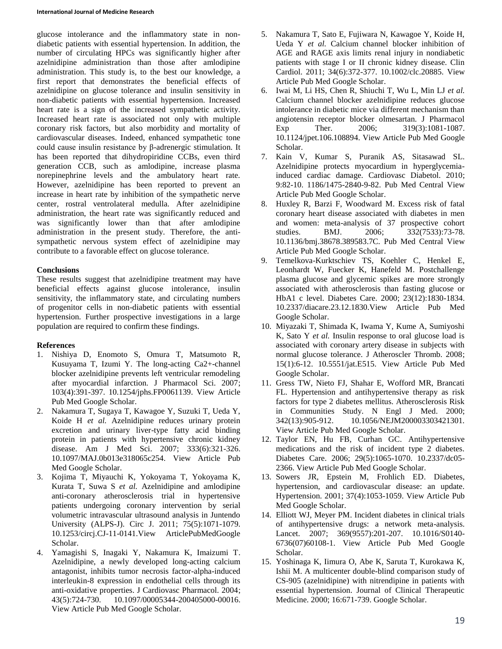glucose intolerance and the inflammatory state in nondiabetic patients with essential hypertension. In addition, the number of circulating HPCs was significantly higher after azelnidipine administration than those after amlodipine administration. This study is, to the best our knowledge, a first report that demonstrates the beneficial effects of azelnidipine on glucose tolerance and insulin sensitivity in non-diabetic patients with essential hypertension. Increased heart rate is a sign of the increased sympathetic activity. Increased heart rate is associated not only with multiple coronary risk factors, but also morbidity and mortality of cardiovascular diseases. Indeed, enhanced sympathetic tone could cause insulin resistance by β-adrenergic stimulation. It has been reported that dihydropiridine CCBs, even third generation CCB, such as amlodipine, increase plasma norepinephrine levels and the ambulatory heart rate. However, azelnidipine has been reported to prevent an increase in heart rate by inhibition of the sympathetic nerve center, rostral ventrolateral medulla. After azelnidipine administration, the heart rate was significantly reduced and was significantly lower than that after amlodipine administration in the present study. Therefore, the antisympathetic nervous system effect of azelnidipine may contribute to a favorable effect on glucose tolerance.

## **Conclusions**

These results suggest that azelnidipine treatment may have beneficial effects against glucose intolerance, insulin sensitivity, the inflammatory state, and circulating numbers of progenitor cells in non-diabetic patients with essential hypertension. Further prospective investigations in a large population are required to confirm these findings.

## **References**

- 1. Nishiya D, Enomoto S, Omura T, Matsumoto R, Kusuyama T, Izumi Y. The long-acting Ca2+-channel blocker azelnidipine prevents left ventricular remodeling after myocardial infarction. J Pharmacol Sci. 2007; 103(4):391-397. 10.1254/jphs.FP0061139. View Article Pub Med Google Scholar.
- 2. Nakamura T, Sugaya T, Kawagoe Y, Suzuki T, Ueda Y, Koide H *et al.* Azelnidipine reduces urinary protein excretion and urinary liver-type fatty acid binding protein in patients with hypertensive chronic kidney disease. Am J Med Sci. 2007; 333(6):321-326. 10.1097/MAJ.0b013e318065c254. View Article Pub Med Google Scholar.
- 3. Kojima T, Miyauchi K, Yokoyama T, Yokoyama K, Kurata T, Suwa S *et al.* Azelnidipine and amlodipine anti-coronary atherosclerosis trial in hypertensive patients undergoing coronary intervention by serial volumetric intravascular ultrasound analysis in Juntendo University (ALPS-J). Circ J. 2011; 75(5):1071-1079. 10.1253/circj.CJ-11-0141.View ArticlePubMedGoogle Scholar.
- 4. Yamagishi S, Inagaki Y, Nakamura K, Imaizumi T. Azelnidipine, a newly developed long-acting calcium antagonist, inhibits tumor necrosis factor-alpha-induced interleukin-8 expression in endothelial cells through its anti-oxidative properties. J Cardiovasc Pharmacol. 2004; 43(5):724-730. 10.1097/00005344-200405000-00016. View Article Pub Med Google Scholar.
- 5. Nakamura T, Sato E, Fujiwara N, Kawagoe Y, Koide H, Ueda Y *et al.* Calcium channel blocker inhibition of AGE and RAGE axis limits renal injury in nondiabetic patients with stage I or II chronic kidney disease. Clin Cardiol. 2011; 34(6):372-377. 10.1002/clc.20885. View Article Pub Med Google Scholar.
- 6. Iwai M, Li HS, Chen R, Shiuchi T, Wu L, Min LJ *et al.* Calcium channel blocker azelnidipine reduces glucose intolerance in diabetic mice via different mechanism than angiotensin receptor blocker olmesartan. J Pharmacol Exp Ther. 2006; 319(3):1081-1087. 10.1124/jpet.106.108894. View Article Pub Med Google Scholar.
- 7. Kain V, Kumar S, Puranik AS, Sitasawad SL. Azelnidipine protects myocardium in hyperglycemiainduced cardiac damage. Cardiovasc Diabetol. 2010; 9:82-10. 1186/1475-2840-9-82. Pub Med Central View Article Pub Med Google Scholar.
- 8. Huxley R, Barzi F, Woodward M. Excess risk of fatal coronary heart disease associated with diabetes in men and women: meta-analysis of 37 prospective cohort studies. BMJ. 2006; 332(7533):73-78. 10.1136/bmj.38678.389583.7C. Pub Med Central View Article Pub Med Google Scholar.
- 9. Temelkova-Kurktschiev TS, Koehler C, Henkel E, Leonhardt W, Fuecker K, Hanefeld M. Postchallenge plasma glucose and glycemic spikes are more strongly associated with atherosclerosis than fasting glucose or HbA1 c level. Diabetes Care. 2000; 23(12):1830-1834. 10.2337/diacare.23.12.1830.View Article Pub Med Google Scholar.
- 10. Miyazaki T, Shimada K, Iwama Y, Kume A, Sumiyoshi K, Sato Y *et al.* Insulin response to oral glucose load is associated with coronary artery disease in subjects with normal glucose tolerance. J Atheroscler Thromb. 2008; 15(1):6-12. 10.5551/jat.E515. View Article Pub Med Google Scholar.
- 11. Gress TW, Nieto FJ, Shahar E, Wofford MR, Brancati FL. Hypertension and antihypertensive therapy as risk factors for type 2 diabetes mellitus. Atherosclerosis Risk in Communities Study. N Engl J Med. 2000; 342(13):905-912. 10.1056/NEJM200003303421301. View Article Pub Med Google Scholar.
- 12. Taylor EN, Hu FB, Curhan GC. Antihypertensive medications and the risk of incident type 2 diabetes. Diabetes Care. 2006; 29(5):1065-1070. 10.2337/dc05- 2366. View Article Pub Med Google Scholar.
- 13. Sowers JR, Epstein M, Frohlich ED. Diabetes, hypertension, and cardiovascular disease: an update. Hypertension. 2001; 37(4):1053-1059. View Article Pub Med Google Scholar.
- 14. Elliott WJ, Meyer PM. Incident diabetes in clinical trials of antihypertensive drugs: a network meta-analysis. Lancet. 2007; 369(9557):201-207. 10.1016/S0140- 6736(07)60108-1. View Article Pub Med Google Scholar.
- 15. Yoshinaga K, Iimura O, Abe K, Saruta T, Kurokawa K, Ishii M. A multicenter double-blind comparison study of CS-905 (azelnidipine) with nitrendipine in patients with essential hypertension. Journal of Clinical Therapeutic Medicine. 2000; 16:671-739. Google Scholar.